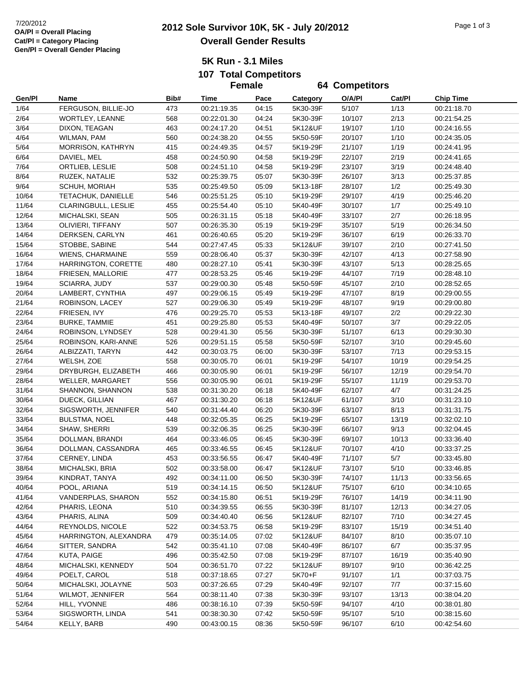|        |                          |      | <b>Female</b> |       | <b>64 Competitors</b> |        |        |                  |
|--------|--------------------------|------|---------------|-------|-----------------------|--------|--------|------------------|
| Gen/Pl | Name                     | Bib# | Time          | Pace  | Category              | O/A/PI | Cat/Pl | <b>Chip Time</b> |
| 1/64   | FERGUSON, BILLIE-JO      | 473  | 00:21:19.35   | 04:15 | 5K30-39F              | 5/107  | 1/13   | 00:21:18.70      |
| 2/64   | <b>WORTLEY, LEANNE</b>   | 568  | 00:22:01.30   | 04:24 | 5K30-39F              | 10/107 | 2/13   | 00:21:54.25      |
| 3/64   | DIXON, TEAGAN            | 463  | 00:24:17.20   | 04:51 | 5K12&UF               | 19/107 | 1/10   | 00:24:16.55      |
| 4/64   | WILMAN, PAM              | 560  | 00:24:38.20   | 04:55 | 5K50-59F              | 20/107 | 1/10   | 00:24:35.05      |
| 5/64   | <b>MORRISON, KATHRYN</b> | 415  | 00:24:49.35   | 04:57 | 5K19-29F              | 21/107 | 1/19   | 00:24:41.95      |
| 6/64   | DAVIEL, MEL              | 458  | 00:24:50.90   | 04:58 | 5K19-29F              | 22/107 | 2/19   | 00:24:41.65      |
| 7/64   | ORTLIEB, LESLIE          | 508  | 00:24:51.10   | 04:58 | 5K19-29F              | 23/107 | 3/19   | 00:24:48.40      |
| 8/64   | RUZEK, NATALIE           | 532  | 00:25:39.75   | 05:07 | 5K30-39F              | 26/107 | 3/13   | 00:25:37.85      |
| 9/64   | SCHUH, MORIAH            | 535  | 00:25:49.50   | 05:09 | 5K13-18F              | 28/107 | 1/2    | 00:25:49.30      |
| 10/64  | TETACHUK, DANIELLE       | 546  | 00:25:51.25   | 05:10 | 5K19-29F              | 29/107 | 4/19   | 00:25:46.20      |
| 11/64  | CLARINGBULL, LESLIE      | 455  | 00:25:54.40   | 05:10 | 5K40-49F              | 30/107 | 1/7    | 00:25:49.10      |
| 12/64  | MICHALSKI, SEAN          | 505  | 00:26:31.15   | 05:18 | 5K40-49F              | 33/107 | 2/7    | 00:26:18.95      |
| 13/64  | OLIVIERI, TIFFANY        | 507  | 00:26:35.30   | 05:19 | 5K19-29F              | 35/107 | 5/19   | 00:26:34.50      |
| 14/64  | DERKSEN, CARLYN          | 461  | 00:26:40.65   | 05:20 | 5K19-29F              | 36/107 | 6/19   | 00:26:33.70      |
| 15/64  | STOBBE, SABINE           | 544  | 00:27:47.45   | 05:33 | 5K12&UF               | 39/107 | 2/10   | 00:27:41.50      |
| 16/64  | WIENS, CHARMAINE         | 559  | 00:28:06.40   | 05:37 | 5K30-39F              | 42/107 | 4/13   | 00:27:58.90      |
| 17/64  | HARRINGTON, CORETTE      | 480  | 00:28:27.10   | 05:41 | 5K30-39F              | 43/107 | 5/13   | 00:28:25.65      |
| 18/64  | FRIESEN, MALLORIE        | 477  | 00:28:53.25   | 05:46 | 5K19-29F              | 44/107 | 7/19   | 00:28:48.10      |
| 19/64  | SCIARRA, JUDY            | 537  | 00:29:00.30   | 05:48 | 5K50-59F              | 45/107 | 2/10   | 00:28:52.65      |
| 20/64  | LAMBERT, CYNTHIA         | 497  | 00:29:06.15   | 05:49 | 5K19-29F              | 47/107 | 8/19   | 00:29:00.55      |
| 21/64  | ROBINSON, LACEY          | 527  | 00:29:06.30   | 05:49 | 5K19-29F              | 48/107 | 9/19   | 00:29:00.80      |
| 22/64  | FRIESEN, IVY             | 476  | 00:29:25.70   | 05:53 | 5K13-18F              | 49/107 | 2/2    | 00:29:22.30      |
| 23/64  | <b>BURKE, TAMMIE</b>     | 451  | 00:29:25.80   | 05:53 | 5K40-49F              | 50/107 | 3/7    | 00:29:22.05      |
| 24/64  | ROBINSON, LYNDSEY        | 528  | 00:29:41.30   | 05:56 | 5K30-39F              | 51/107 | 6/13   | 00:29:30.30      |
| 25/64  | ROBINSON, KARI-ANNE      | 526  | 00:29:51.15   | 05:58 | 5K50-59F              | 52/107 | 3/10   | 00:29:45.60      |
| 26/64  | ALBIZZATI, TARYN         | 442  | 00:30:03.75   | 06:00 | 5K30-39F              | 53/107 | 7/13   | 00:29:53.15      |
| 27/64  | WELSH, ZOE               | 558  | 00:30:05.70   | 06:01 | 5K19-29F              | 54/107 | 10/19  | 00:29:54.25      |
| 29/64  | DRYBURGH, ELIZABETH      | 466  | 00:30:05.90   | 06:01 | 5K19-29F              | 56/107 | 12/19  | 00:29:54.70      |
| 28/64  | WELLER, MARGARET         | 556  | 00:30:05.90   | 06:01 | 5K19-29F              | 55/107 | 11/19  | 00:29:53.70      |
| 31/64  | SHANNON, SHANNON         | 538  | 00:31:30.20   | 06:18 | 5K40-49F              | 62/107 | 4/7    | 00:31:24.25      |
| 30/64  | DUECK, GILLIAN           | 467  | 00:31:30.20   | 06:18 | 5K12&UF               | 61/107 | 3/10   | 00:31:23.10      |
| 32/64  | SIGSWORTH, JENNIFER      | 540  | 00:31:44.40   | 06:20 | 5K30-39F              | 63/107 | 8/13   | 00:31:31.75      |
| 33/64  | <b>BULSTMA, NOEL</b>     | 448  | 00:32:05.35   | 06:25 | 5K19-29F              | 65/107 | 13/19  | 00:32:02.10      |
| 34/64  | SHAW, SHERRI             | 539  | 00:32:06.35   | 06:25 | 5K30-39F              | 66/107 | 9/13   | 00:32:04.45      |
| 35/64  | DOLLMAN, BRANDI          | 464  | 00:33:46.05   | 06:45 | 5K30-39F              | 69/107 | 10/13  | 00:33:36.40      |
| 36/64  | DOLLMAN, CASSANDRA       | 465  | 00:33:46.55   | 06:45 | 5K12&UF               | 70/107 | 4/10   | 00:33:37.25      |
| 37/64  | CERNEY, LINDA            | 453  | 00:33:56.55   | 06:47 | 5K40-49F              | 71/107 | $5/7$  | 00:33:45.80      |
| 38/64  | MICHALSKI, BRIA          | 502  | 00:33:58.00   | 06:47 | 5K12&UF               | 73/107 | 5/10   | 00:33:46.85      |
| 39/64  | KINDRAT, TANYA           | 492  | 00:34:11.00   | 06:50 | 5K30-39F              | 74/107 | 11/13  | 00:33:56.65      |
| 40/64  | POOL, ARIANA             | 519  | 00:34:14.15   | 06:50 | 5K12&UF               | 75/107 | 6/10   | 00:34:10.65      |
| 41/64  | VANDERPLAS, SHARON       | 552  | 00:34:15.80   | 06:51 | 5K19-29F              | 76/107 | 14/19  | 00:34:11.90      |
| 42/64  | PHARIS, LEONA            | 510  | 00:34:39.55   | 06:55 | 5K30-39F              | 81/107 | 12/13  | 00:34:27.05      |
| 43/64  | PHARIS, ALINA            | 509  | 00:34:40.40   | 06:56 | 5K12&UF               | 82/107 | 7/10   | 00:34:27.45      |
| 44/64  | REYNOLDS, NICOLE         | 522  | 00:34:53.75   | 06:58 | 5K19-29F              | 83/107 | 15/19  | 00:34:51.40      |
| 45/64  | HARRINGTON, ALEXANDRA    | 479  | 00:35:14.05   | 07:02 | 5K12&UF               | 84/107 | 8/10   | 00:35:07.10      |
| 46/64  | SITTER, SANDRA           | 542  | 00:35:41.10   | 07:08 | 5K40-49F              | 86/107 | 6/7    | 00:35:37.95      |
| 47/64  | KUTA, PAIGE              | 496  | 00:35:42.50   | 07:08 | 5K19-29F              | 87/107 | 16/19  | 00:35:40.90      |
| 48/64  | MICHALSKI, KENNEDY       | 504  | 00:36:51.70   | 07:22 | 5K12&UF               | 89/107 | 9/10   | 00:36:42.25      |
| 49/64  | POELT, CAROL             | 518  | 00:37:18.65   | 07:27 | 5K70+F                | 91/107 | 1/1    | 00:37:03.75      |
| 50/64  | MICHALSKI, JOLAYNE       | 503  | 00:37:26.65   | 07:29 | 5K40-49F              | 92/107 | 7/7    | 00:37:15.60      |
| 51/64  | WILMOT, JENNIFER         | 564  | 00:38:11.40   | 07:38 | 5K30-39F              | 93/107 | 13/13  | 00:38:04.20      |
| 52/64  | HILL, YVONNE             | 486  | 00:38:16.10   | 07:39 | 5K50-59F              | 94/107 | 4/10   | 00:38:01.80      |
| 53/64  | SIGSWORTH, LINDA         | 541  | 00:38:30.30   | 07:42 | 5K50-59F              | 95/107 | 5/10   | 00:38:15.60      |
| 54/64  | KELLY, BARB              | 490  | 00:43:00.15   | 08:36 | 5K50-59F              | 96/107 | 6/10   | 00:42:54.60      |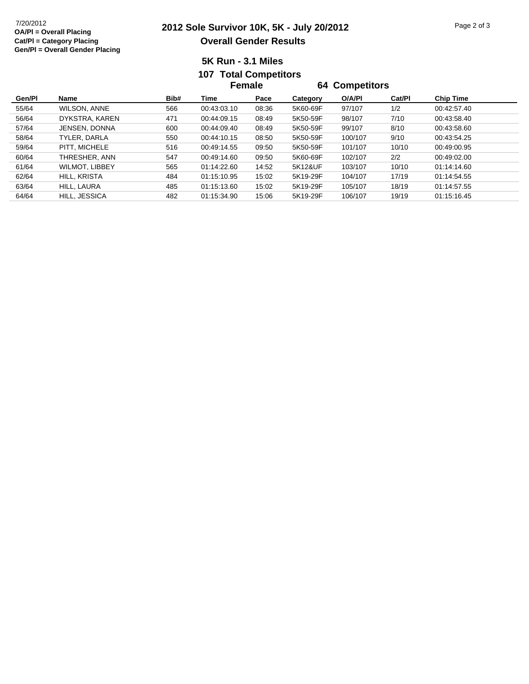## **2012 Sole Survivor 10K, 5K - July 20/2012** 7/20/2012 Page 2 of 3 **Overall Gender Results**

## **5K Run - 3.1 Miles107 Total Competitors**

|        |                       |      | Female      |       | <b>64 Competitors</b> |         |        |                  |  |
|--------|-----------------------|------|-------------|-------|-----------------------|---------|--------|------------------|--|
| Gen/Pl | <b>Name</b>           | Bib# | Time        | Pace  | Category              | O/A/PI  | Cat/PI | <b>Chip Time</b> |  |
| 55/64  | <b>WILSON, ANNE</b>   | 566  | 00:43:03.10 | 08:36 | 5K60-69F              | 97/107  | 1/2    | 00:42:57.40      |  |
| 56/64  | DYKSTRA, KAREN        | 471  | 00:44:09.15 | 08:49 | 5K50-59F              | 98/107  | 7/10   | 00:43:58.40      |  |
| 57/64  | <b>JENSEN, DONNA</b>  | 600  | 00:44:09.40 | 08:49 | 5K50-59F              | 99/107  | 8/10   | 00:43:58.60      |  |
| 58/64  | TYLER, DARLA          | 550  | 00:44:10.15 | 08:50 | 5K50-59F              | 100/107 | 9/10   | 00:43:54.25      |  |
| 59/64  | PITT. MICHELE         | 516  | 00:49:14.55 | 09:50 | 5K50-59F              | 101/107 | 10/10  | 00:49:00.95      |  |
| 60/64  | THRESHER, ANN         | 547  | 00:49:14.60 | 09:50 | 5K60-69F              | 102/107 | 2/2    | 00:49:02.00      |  |
| 61/64  | <b>WILMOT, LIBBEY</b> | 565  | 01:14:22.60 | 14:52 | 5K12&UF               | 103/107 | 10/10  | 01:14:14.60      |  |
| 62/64  | HILL, KRISTA          | 484  | 01:15:10.95 | 15:02 | 5K19-29F              | 104/107 | 17/19  | 01:14:54.55      |  |
| 63/64  | HILL, LAURA           | 485  | 01:15:13.60 | 15:02 | 5K19-29F              | 105/107 | 18/19  | 01:14:57.55      |  |
| 64/64  | HILL, JESSICA         | 482  | 01:15:34.90 | 15:06 | 5K19-29F              | 106/107 | 19/19  | 01:15:16.45      |  |
|        |                       |      |             |       |                       |         |        |                  |  |